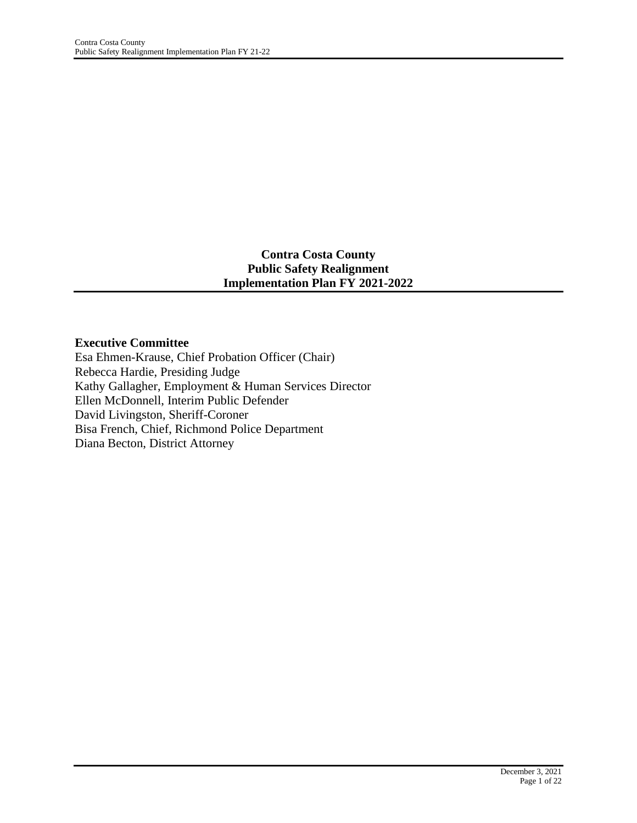### **Contra Costa County Public Safety Realignment Implementation Plan FY 2021-2022**

#### **Executive Committee**

Esa Ehmen-Krause, Chief Probation Officer (Chair) Rebecca Hardie, Presiding Judge Kathy Gallagher, Employment & Human Services Director Ellen McDonnell, Interim Public Defender David Livingston, Sheriff-Coroner Bisa French, Chief, Richmond Police Department Diana Becton, District Attorney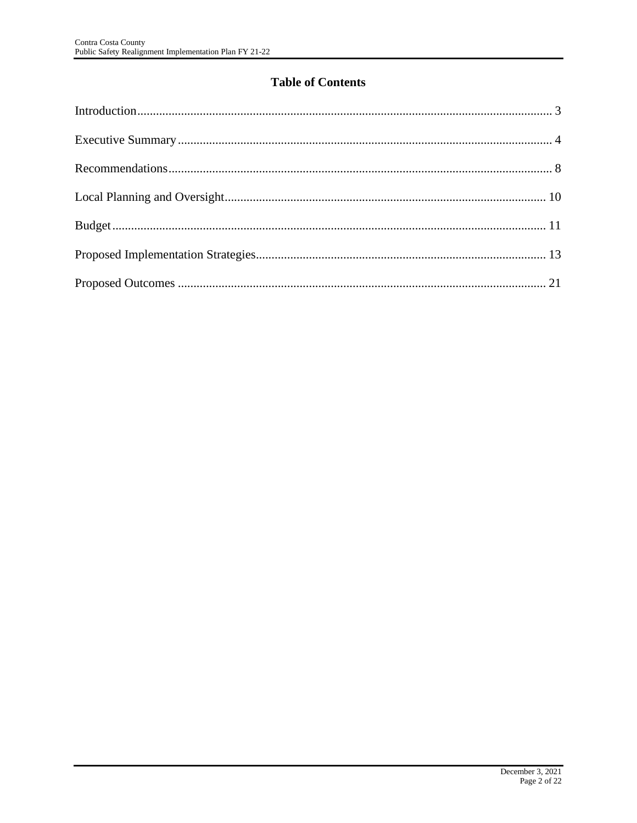# **Table of Contents**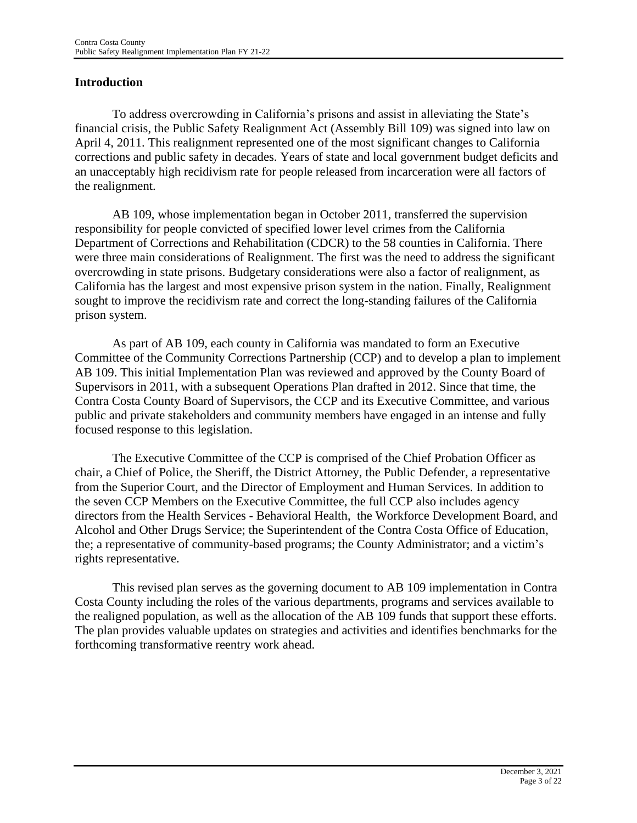### **Introduction**

To address overcrowding in California's prisons and assist in alleviating the State's financial crisis, the Public Safety Realignment Act (Assembly Bill 109) was signed into law on April 4, 2011. This realignment represented one of the most significant changes to California corrections and public safety in decades. Years of state and local government budget deficits and an unacceptably high recidivism rate for people released from incarceration were all factors of the realignment.

AB 109, whose implementation began in October 2011, transferred the supervision responsibility for people convicted of specified lower level crimes from the California Department of Corrections and Rehabilitation (CDCR) to the 58 counties in California. There were three main considerations of Realignment. The first was the need to address the significant overcrowding in state prisons. Budgetary considerations were also a factor of realignment, as California has the largest and most expensive prison system in the nation. Finally, Realignment sought to improve the recidivism rate and correct the long-standing failures of the California prison system.

As part of AB 109, each county in California was mandated to form an Executive Committee of the Community Corrections Partnership (CCP) and to develop a plan to implement AB 109. This initial Implementation Plan was reviewed and approved by the County Board of Supervisors in 2011, with a subsequent Operations Plan drafted in 2012. Since that time, the Contra Costa County Board of Supervisors, the CCP and its Executive Committee, and various public and private stakeholders and community members have engaged in an intense and fully focused response to this legislation.

The Executive Committee of the CCP is comprised of the Chief Probation Officer as chair, a Chief of Police, the Sheriff, the District Attorney, the Public Defender, a representative from the Superior Court, and the Director of Employment and Human Services. In addition to the seven CCP Members on the Executive Committee, the full CCP also includes agency directors from the Health Services - Behavioral Health, the Workforce Development Board, and Alcohol and Other Drugs Service; the Superintendent of the Contra Costa Office of Education, the; a representative of community-based programs; the County Administrator; and a victim's rights representative.

This revised plan serves as the governing document to AB 109 implementation in Contra Costa County including the roles of the various departments, programs and services available to the realigned population, as well as the allocation of the AB 109 funds that support these efforts. The plan provides valuable updates on strategies and activities and identifies benchmarks for the forthcoming transformative reentry work ahead.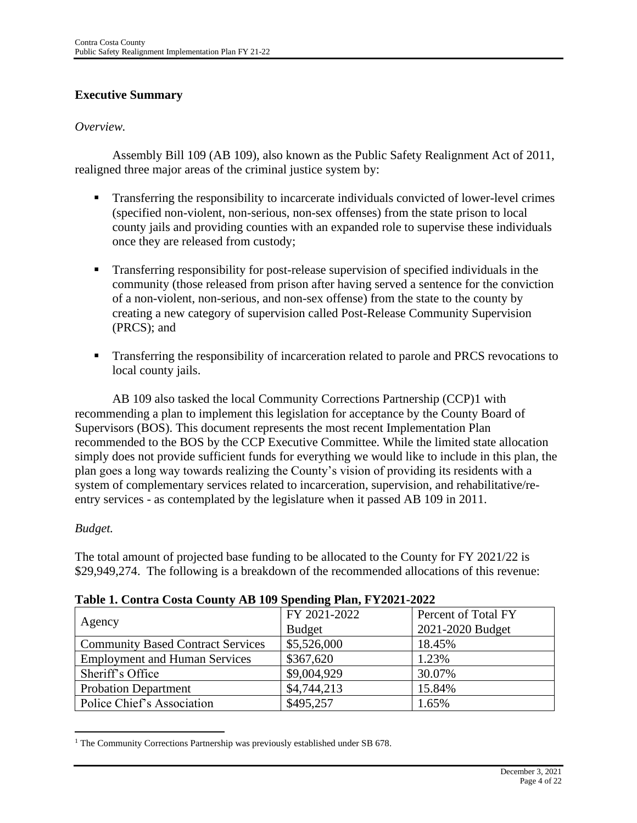# **Executive Summary**

#### *Overview.*

Assembly Bill 109 (AB 109), also known as the Public Safety Realignment Act of 2011, realigned three major areas of the criminal justice system by:

- **•** Transferring the responsibility to incarcerate individuals convicted of lower-level crimes (specified non-violent, non-serious, non-sex offenses) from the state prison to local county jails and providing counties with an expanded role to supervise these individuals once they are released from custody;
- Transferring responsibility for post-release supervision of specified individuals in the community (those released from prison after having served a sentence for the conviction of a non-violent, non-serious, and non-sex offense) from the state to the county by creating a new category of supervision called Post-Release Community Supervision (PRCS); and
- Transferring the responsibility of incarceration related to parole and PRCS revocations to local county jails.

AB 109 also tasked the local Community Corrections Partnership (CCP)1 with recommending a plan to implement this legislation for acceptance by the County Board of Supervisors (BOS). This document represents the most recent Implementation Plan recommended to the BOS by the CCP Executive Committee. While the limited state allocation simply does not provide sufficient funds for everything we would like to include in this plan, the plan goes a long way towards realizing the County's vision of providing its residents with a system of complementary services related to incarceration, supervision, and rehabilitative/reentry services - as contemplated by the legislature when it passed AB 109 in 2011.

### *Budget.*

The total amount of projected base funding to be allocated to the County for FY 2021/22 is \$29,949,274. The following is a breakdown of the recommended allocations of this revenue:

| Table 1. Contra Costa County AD 102 Spending I lan, I 12021-2022 |               |                     |  |  |  |
|------------------------------------------------------------------|---------------|---------------------|--|--|--|
| Agency                                                           | FY 2021-2022  | Percent of Total FY |  |  |  |
|                                                                  | <b>Budget</b> | 2021-2020 Budget    |  |  |  |
| <b>Community Based Contract Services</b>                         | \$5,526,000   | 18.45%              |  |  |  |
| <b>Employment and Human Services</b>                             | \$367,620     | 1.23%               |  |  |  |
| Sheriff's Office                                                 | \$9,004,929   | 30.07%              |  |  |  |
| <b>Probation Department</b>                                      | \$4,744,213   | 15.84%              |  |  |  |
| Police Chief's Association                                       | \$495,257     | 1.65%               |  |  |  |

### **Table 1. Contra Costa County AB 109 Spending Plan, FY2021-2022**

<sup>&</sup>lt;sup>1</sup> The Community Corrections Partnership was previously established under SB 678.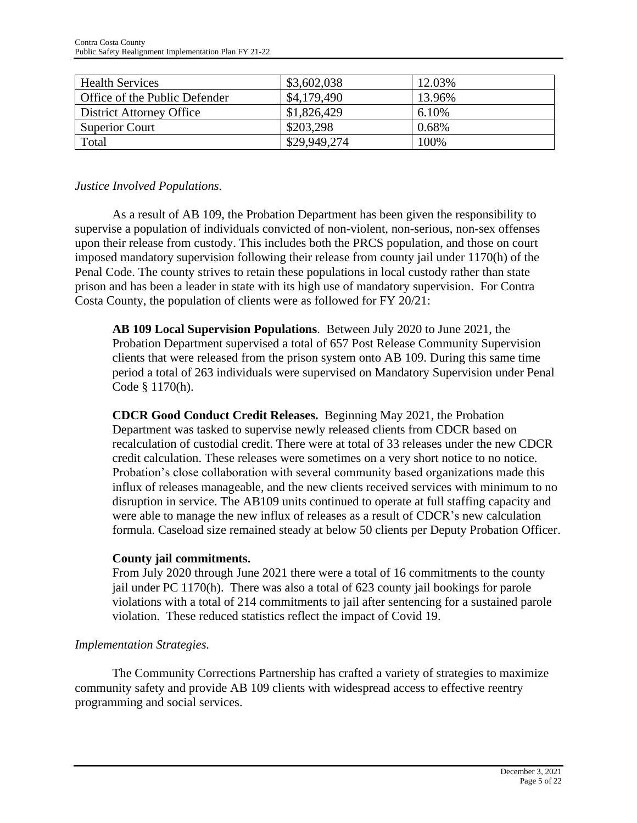| <b>Health Services</b>        | \$3,602,038  | 12.03% |
|-------------------------------|--------------|--------|
| Office of the Public Defender | \$4,179,490  | 13.96% |
| District Attorney Office      | \$1,826,429  | 6.10%  |
| <b>Superior Court</b>         | \$203,298    | 0.68%  |
| Total                         | \$29,949,274 | 100%   |

#### *Justice Involved Populations.*

As a result of AB 109, the Probation Department has been given the responsibility to supervise a population of individuals convicted of non-violent, non-serious, non-sex offenses upon their release from custody. This includes both the PRCS population, and those on court imposed mandatory supervision following their release from county jail under 1170(h) of the Penal Code. The county strives to retain these populations in local custody rather than state prison and has been a leader in state with its high use of mandatory supervision. For Contra Costa County, the population of clients were as followed for FY 20/21:

**AB 109 Local Supervision Populations**. Between July 2020 to June 2021, the Probation Department supervised a total of 657 Post Release Community Supervision clients that were released from the prison system onto AB 109. During this same time period a total of 263 individuals were supervised on Mandatory Supervision under Penal Code § 1170(h).

**CDCR Good Conduct Credit Releases.** Beginning May 2021, the Probation Department was tasked to supervise newly released clients from CDCR based on recalculation of custodial credit. There were at total of 33 releases under the new CDCR credit calculation. These releases were sometimes on a very short notice to no notice. Probation's close collaboration with several community based organizations made this influx of releases manageable, and the new clients received services with minimum to no disruption in service. The AB109 units continued to operate at full staffing capacity and were able to manage the new influx of releases as a result of CDCR's new calculation formula. Caseload size remained steady at below 50 clients per Deputy Probation Officer.

#### **County jail commitments.**

From July 2020 through June 2021 there were a total of 16 commitments to the county jail under PC 1170(h). There was also a total of 623 county jail bookings for parole violations with a total of 214 commitments to jail after sentencing for a sustained parole violation. These reduced statistics reflect the impact of Covid 19.

### *Implementation Strategies.*

The Community Corrections Partnership has crafted a variety of strategies to maximize community safety and provide AB 109 clients with widespread access to effective reentry programming and social services.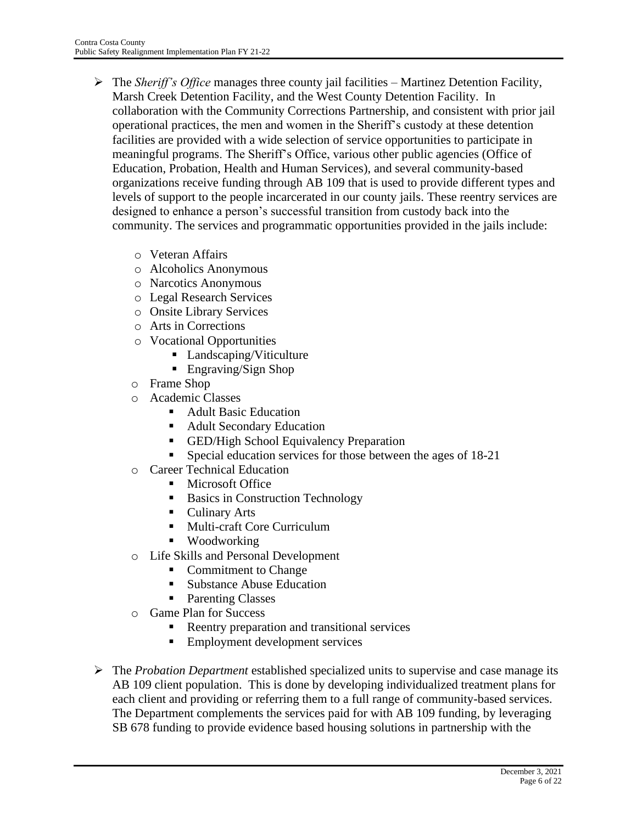- ➢ The *Sheriff's Office* manages three county jail facilities Martinez Detention Facility, Marsh Creek Detention Facility, and the West County Detention Facility. In collaboration with the Community Corrections Partnership, and consistent with prior jail operational practices, the men and women in the Sheriff's custody at these detention facilities are provided with a wide selection of service opportunities to participate in meaningful programs. The Sheriff's Office, various other public agencies (Office of Education, Probation, Health and Human Services), and several community-based organizations receive funding through AB 109 that is used to provide different types and levels of support to the people incarcerated in our county jails. These reentry services are designed to enhance a person's successful transition from custody back into the community. The services and programmatic opportunities provided in the jails include:
	- o Veteran Affairs
	- o Alcoholics Anonymous
	- o Narcotics Anonymous
	- o Legal Research Services
	- o Onsite Library Services
	- o Arts in Corrections
	- o Vocational Opportunities
		- Landscaping/Viticulture
		- Engraving/Sign Shop
	- o Frame Shop
	- o Academic Classes
		- **Adult Basic Education**
		- Adult Secondary Education
		- **ED/High School Equivalency Preparation**
		- **Exercise 18-21** Special education services for those between the ages of 18-21
	- o Career Technical Education
		- **Microsoft Office**
		- Basics in Construction Technology
		- Culinary Arts
		- Multi-craft Core Curriculum
		- **Woodworking**
	- o Life Skills and Personal Development
		- Commitment to Change
		- Substance Abuse Education
		- Parenting Classes
	- o Game Plan for Success
		- Reentry preparation and transitional services
		- Employment development services
- ➢ The *Probation Department* established specialized units to supervise and case manage its AB 109 client population. This is done by developing individualized treatment plans for each client and providing or referring them to a full range of community-based services. The Department complements the services paid for with AB 109 funding, by leveraging SB 678 funding to provide evidence based housing solutions in partnership with the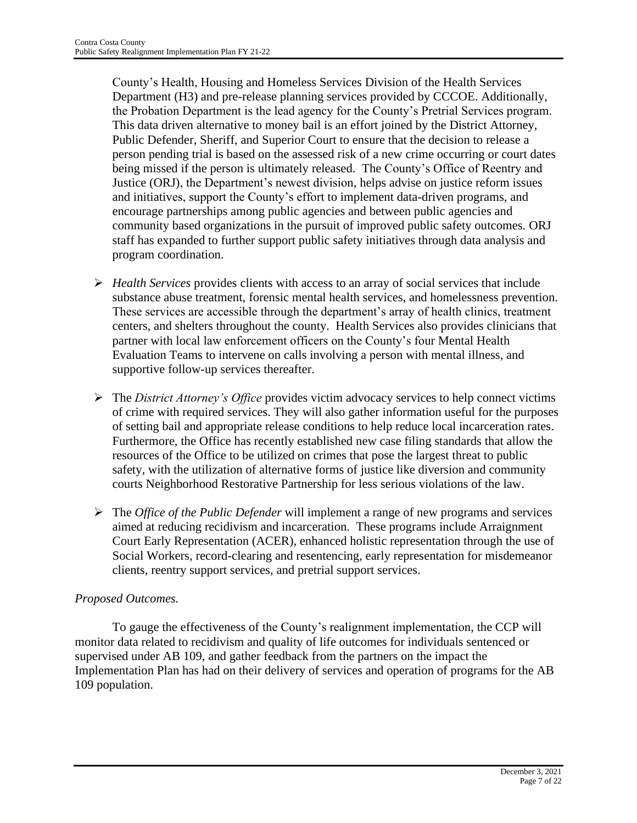County's Health, Housing and Homeless Services Division of the Health Services Department (H3) and pre-release planning services provided by CCCOE. Additionally, the Probation Department is the lead agency for the County's Pretrial Services program. This data driven alternative to money bail is an effort joined by the District Attorney, Public Defender, Sheriff, and Superior Court to ensure that the decision to release a person pending trial is based on the assessed risk of a new crime occurring or court dates being missed if the person is ultimately released. The County's Office of Reentry and Justice (ORJ), the Department's newest division, helps advise on justice reform issues and initiatives, support the County's effort to implement data-driven programs, and encourage partnerships among public agencies and between public agencies and community based organizations in the pursuit of improved public safety outcomes. ORJ staff has expanded to further support public safety initiatives through data analysis and program coordination.

- ➢ *Health Services* provides clients with access to an array of social services that include substance abuse treatment, forensic mental health services, and homelessness prevention. These services are accessible through the department's array of health clinics, treatment centers, and shelters throughout the county. Health Services also provides clinicians that partner with local law enforcement officers on the County's four Mental Health Evaluation Teams to intervene on calls involving a person with mental illness, and supportive follow-up services thereafter.
- ➢ The *District Attorney's Office* provides victim advocacy services to help connect victims of crime with required services. They will also gather information useful for the purposes of setting bail and appropriate release conditions to help reduce local incarceration rates. Furthermore, the Office has recently established new case filing standards that allow the resources of the Office to be utilized on crimes that pose the largest threat to public safety, with the utilization of alternative forms of justice like diversion and community courts Neighborhood Restorative Partnership for less serious violations of the law.
- ➢ The *Office of the Public Defender* will implement a range of new programs and services aimed at reducing recidivism and incarceration. These programs include Arraignment Court Early Representation (ACER), enhanced holistic representation through the use of Social Workers, record-clearing and resentencing, early representation for misdemeanor clients, reentry support services, and pretrial support services.

# *Proposed Outcomes.*

To gauge the effectiveness of the County's realignment implementation, the CCP will monitor data related to recidivism and quality of life outcomes for individuals sentenced or supervised under AB 109, and gather feedback from the partners on the impact the Implementation Plan has had on their delivery of services and operation of programs for the AB 109 population.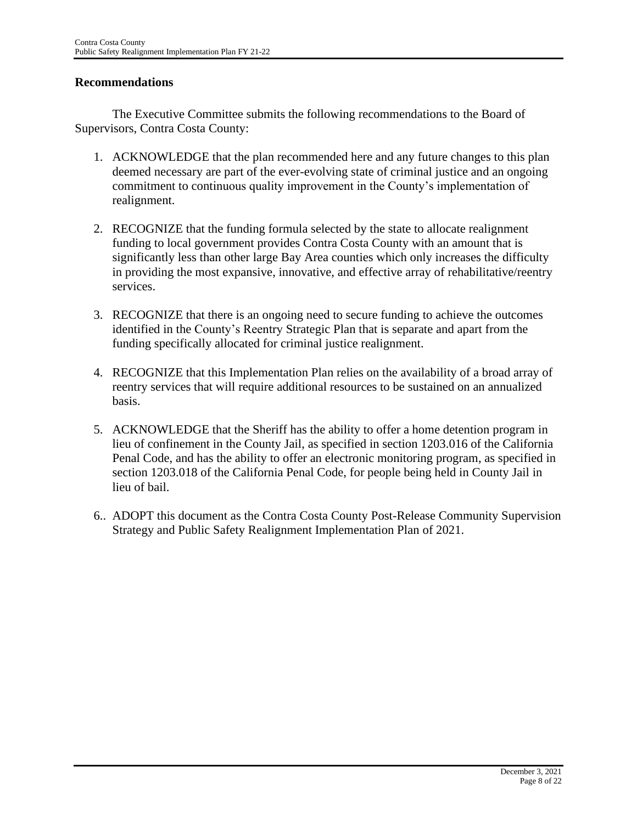### **Recommendations**

The Executive Committee submits the following recommendations to the Board of Supervisors, Contra Costa County:

- 1. ACKNOWLEDGE that the plan recommended here and any future changes to this plan deemed necessary are part of the ever-evolving state of criminal justice and an ongoing commitment to continuous quality improvement in the County's implementation of realignment.
- 2. RECOGNIZE that the funding formula selected by the state to allocate realignment funding to local government provides Contra Costa County with an amount that is significantly less than other large Bay Area counties which only increases the difficulty in providing the most expansive, innovative, and effective array of rehabilitative/reentry services.
- 3. RECOGNIZE that there is an ongoing need to secure funding to achieve the outcomes identified in the County's Reentry Strategic Plan that is separate and apart from the funding specifically allocated for criminal justice realignment.
- 4. RECOGNIZE that this Implementation Plan relies on the availability of a broad array of reentry services that will require additional resources to be sustained on an annualized basis.
- 5. ACKNOWLEDGE that the Sheriff has the ability to offer a home detention program in lieu of confinement in the County Jail, as specified in section 1203.016 of the California Penal Code, and has the ability to offer an electronic monitoring program, as specified in section 1203.018 of the California Penal Code, for people being held in County Jail in lieu of bail.
- 6.. ADOPT this document as the Contra Costa County Post-Release Community Supervision Strategy and Public Safety Realignment Implementation Plan of 2021.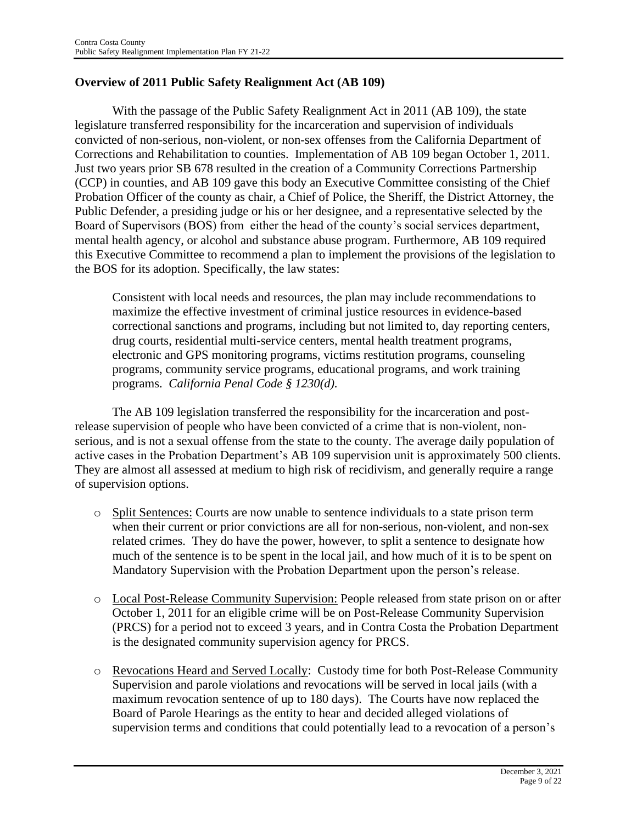### **Overview of 2011 Public Safety Realignment Act (AB 109)**

With the passage of the Public Safety Realignment Act in 2011 (AB 109), the state legislature transferred responsibility for the incarceration and supervision of individuals convicted of non-serious, non-violent, or non-sex offenses from the California Department of Corrections and Rehabilitation to counties. Implementation of AB 109 began October 1, 2011. Just two years prior SB 678 resulted in the creation of a Community Corrections Partnership (CCP) in counties, and AB 109 gave this body an Executive Committee consisting of the Chief Probation Officer of the county as chair, a Chief of Police, the Sheriff, the District Attorney, the Public Defender, a presiding judge or his or her designee, and a representative selected by the Board of Supervisors (BOS) from either the head of the county's social services department, mental health agency, or alcohol and substance abuse program. Furthermore, AB 109 required this Executive Committee to recommend a plan to implement the provisions of the legislation to the BOS for its adoption. Specifically, the law states:

Consistent with local needs and resources, the plan may include recommendations to maximize the effective investment of criminal justice resources in evidence-based correctional sanctions and programs, including but not limited to, day reporting centers, drug courts, residential multi-service centers, mental health treatment programs, electronic and GPS monitoring programs, victims restitution programs, counseling programs, community service programs, educational programs, and work training programs. *California Penal Code § 1230(d).*

The AB 109 legislation transferred the responsibility for the incarceration and postrelease supervision of people who have been convicted of a crime that is non-violent, nonserious, and is not a sexual offense from the state to the county. The average daily population of active cases in the Probation Department's AB 109 supervision unit is approximately 500 clients. They are almost all assessed at medium to high risk of recidivism, and generally require a range of supervision options.

- o Split Sentences: Courts are now unable to sentence individuals to a state prison term when their current or prior convictions are all for non-serious, non-violent, and non-sex related crimes. They do have the power, however, to split a sentence to designate how much of the sentence is to be spent in the local jail, and how much of it is to be spent on Mandatory Supervision with the Probation Department upon the person's release.
- o Local Post-Release Community Supervision: People released from state prison on or after October 1, 2011 for an eligible crime will be on Post-Release Community Supervision (PRCS) for a period not to exceed 3 years, and in Contra Costa the Probation Department is the designated community supervision agency for PRCS.
- o Revocations Heard and Served Locally: Custody time for both Post-Release Community Supervision and parole violations and revocations will be served in local jails (with a maximum revocation sentence of up to 180 days). The Courts have now replaced the Board of Parole Hearings as the entity to hear and decided alleged violations of supervision terms and conditions that could potentially lead to a revocation of a person's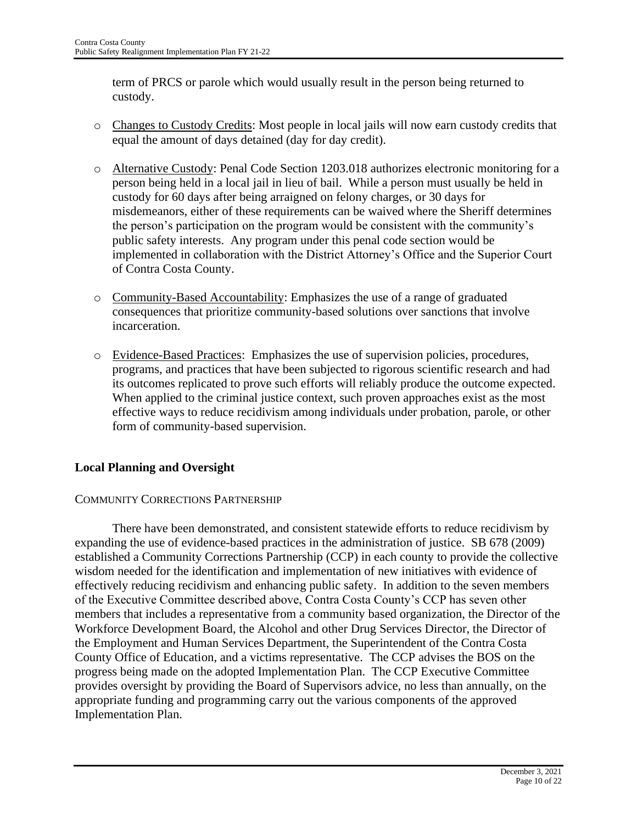term of PRCS or parole which would usually result in the person being returned to custody.

- o Changes to Custody Credits: Most people in local jails will now earn custody credits that equal the amount of days detained (day for day credit).
- o Alternative Custody: Penal Code Section 1203.018 authorizes electronic monitoring for a person being held in a local jail in lieu of bail. While a person must usually be held in custody for 60 days after being arraigned on felony charges, or 30 days for misdemeanors, either of these requirements can be waived where the Sheriff determines the person's participation on the program would be consistent with the community's public safety interests. Any program under this penal code section would be implemented in collaboration with the District Attorney's Office and the Superior Court of Contra Costa County.
- o Community-Based Accountability: Emphasizes the use of a range of graduated consequences that prioritize community-based solutions over sanctions that involve incarceration.
- o Evidence-Based Practices: Emphasizes the use of supervision policies, procedures, programs, and practices that have been subjected to rigorous scientific research and had its outcomes replicated to prove such efforts will reliably produce the outcome expected. When applied to the criminal justice context, such proven approaches exist as the most effective ways to reduce recidivism among individuals under probation, parole, or other form of community-based supervision.

# **Local Planning and Oversight**

### COMMUNITY CORRECTIONS PARTNERSHIP

There have been demonstrated, and consistent statewide efforts to reduce recidivism by expanding the use of evidence-based practices in the administration of justice. SB 678 (2009) established a Community Corrections Partnership (CCP) in each county to provide the collective wisdom needed for the identification and implementation of new initiatives with evidence of effectively reducing recidivism and enhancing public safety. In addition to the seven members of the Executive Committee described above, Contra Costa County's CCP has seven other members that includes a representative from a community based organization, the Director of the Workforce Development Board, the Alcohol and other Drug Services Director, the Director of the Employment and Human Services Department, the Superintendent of the Contra Costa County Office of Education, and a victims representative. The CCP advises the BOS on the progress being made on the adopted Implementation Plan. The CCP Executive Committee provides oversight by providing the Board of Supervisors advice, no less than annually, on the appropriate funding and programming carry out the various components of the approved Implementation Plan.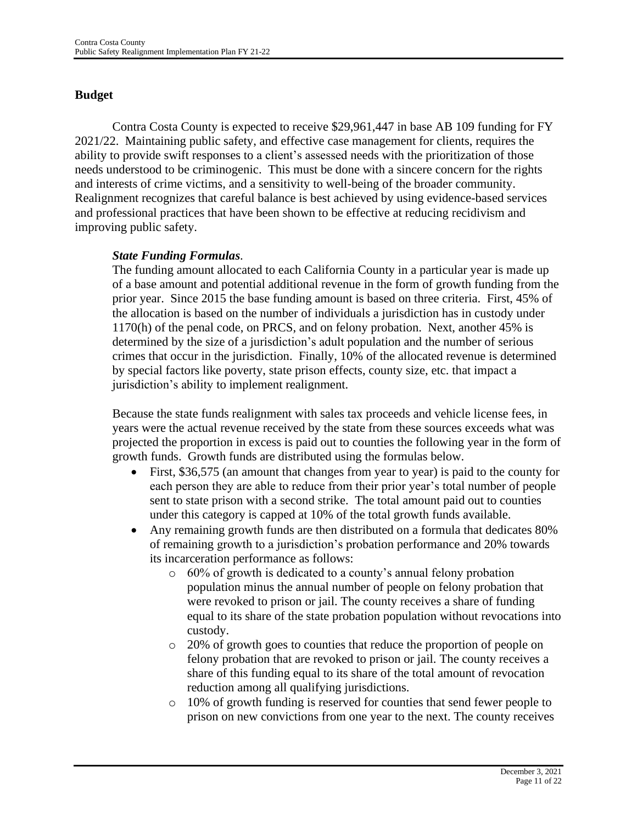# **Budget**

Contra Costa County is expected to receive \$29,961,447 in base AB 109 funding for FY 2021/22. Maintaining public safety, and effective case management for clients, requires the ability to provide swift responses to a client's assessed needs with the prioritization of those needs understood to be criminogenic. This must be done with a sincere concern for the rights and interests of crime victims, and a sensitivity to well-being of the broader community. Realignment recognizes that careful balance is best achieved by using evidence-based services and professional practices that have been shown to be effective at reducing recidivism and improving public safety.

### *State Funding Formulas*.

The funding amount allocated to each California County in a particular year is made up of a base amount and potential additional revenue in the form of growth funding from the prior year. Since 2015 the base funding amount is based on three criteria. First, 45% of the allocation is based on the number of individuals a jurisdiction has in custody under 1170(h) of the penal code, on PRCS, and on felony probation. Next, another 45% is determined by the size of a jurisdiction's adult population and the number of serious crimes that occur in the jurisdiction. Finally, 10% of the allocated revenue is determined by special factors like poverty, state prison effects, county size, etc. that impact a jurisdiction's ability to implement realignment.

Because the state funds realignment with sales tax proceeds and vehicle license fees, in years were the actual revenue received by the state from these sources exceeds what was projected the proportion in excess is paid out to counties the following year in the form of growth funds. Growth funds are distributed using the formulas below.

- First, \$36,575 (an amount that changes from year to year) is paid to the county for each person they are able to reduce from their prior year's total number of people sent to state prison with a second strike. The total amount paid out to counties under this category is capped at 10% of the total growth funds available.
- Any remaining growth funds are then distributed on a formula that dedicates 80% of remaining growth to a jurisdiction's probation performance and 20% towards its incarceration performance as follows:
	- o 60% of growth is dedicated to a county's annual felony probation population minus the annual number of people on felony probation that were revoked to prison or jail. The county receives a share of funding equal to its share of the state probation population without revocations into custody.
	- o 20% of growth goes to counties that reduce the proportion of people on felony probation that are revoked to prison or jail. The county receives a share of this funding equal to its share of the total amount of revocation reduction among all qualifying jurisdictions.
	- o 10% of growth funding is reserved for counties that send fewer people to prison on new convictions from one year to the next. The county receives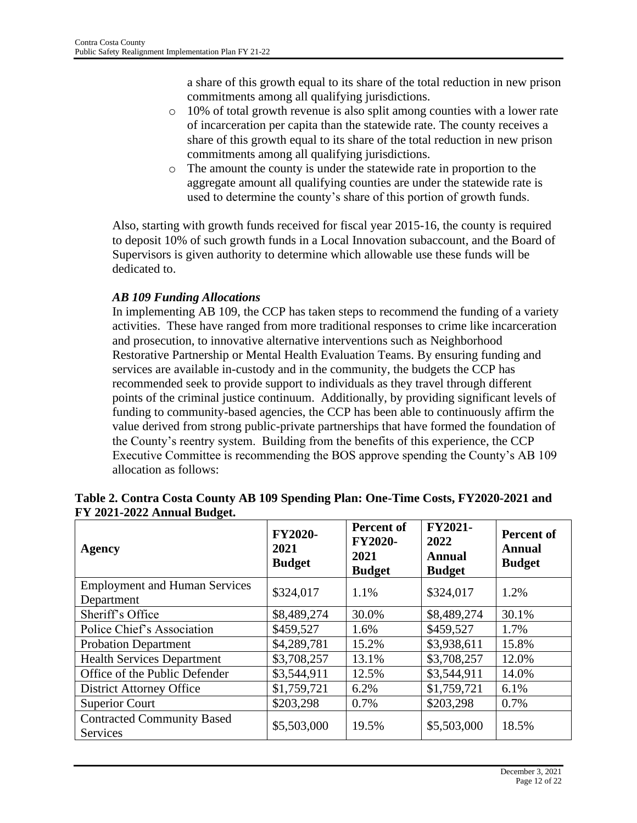a share of this growth equal to its share of the total reduction in new prison commitments among all qualifying jurisdictions.

- $\circ$  10% of total growth revenue is also split among counties with a lower rate of incarceration per capita than the statewide rate. The county receives a share of this growth equal to its share of the total reduction in new prison commitments among all qualifying jurisdictions.
- o The amount the county is under the statewide rate in proportion to the aggregate amount all qualifying counties are under the statewide rate is used to determine the county's share of this portion of growth funds.

Also, starting with growth funds received for fiscal year 2015-16, the county is required to deposit 10% of such growth funds in a Local Innovation subaccount, and the Board of Supervisors is given authority to determine which allowable use these funds will be dedicated to.

## *AB 109 Funding Allocations*

In implementing AB 109, the CCP has taken steps to recommend the funding of a variety activities. These have ranged from more traditional responses to crime like incarceration and prosecution, to innovative alternative interventions such as Neighborhood Restorative Partnership or Mental Health Evaluation Teams. By ensuring funding and services are available in-custody and in the community, the budgets the CCP has recommended seek to provide support to individuals as they travel through different points of the criminal justice continuum. Additionally, by providing significant levels of funding to community-based agencies, the CCP has been able to continuously affirm the value derived from strong public-private partnerships that have formed the foundation of the County's reentry system. Building from the benefits of this experience, the CCP Executive Committee is recommending the BOS approve spending the County's AB 109 allocation as follows:

| Agency                                               | <b>FY2020-</b><br>2021<br><b>Budget</b> | <b>Percent of</b><br><b>FY2020-</b><br>2021<br><b>Budget</b> | FY2021-<br>2022<br><b>Annual</b><br><b>Budget</b> | <b>Percent of</b><br><b>Annual</b><br><b>Budget</b> |
|------------------------------------------------------|-----------------------------------------|--------------------------------------------------------------|---------------------------------------------------|-----------------------------------------------------|
| <b>Employment and Human Services</b><br>Department   | \$324,017                               | 1.1%                                                         | \$324,017                                         | 1.2%                                                |
| Sheriff's Office                                     | \$8,489,274                             | 30.0%                                                        | \$8,489,274                                       | 30.1%                                               |
| Police Chief's Association                           | \$459,527                               | 1.6%                                                         | \$459,527                                         | 1.7%                                                |
| <b>Probation Department</b>                          | \$4,289,781                             | 15.2%                                                        | \$3,938,611                                       | 15.8%                                               |
| <b>Health Services Department</b>                    | \$3,708,257                             | 13.1%                                                        | \$3,708,257                                       | 12.0%                                               |
| Office of the Public Defender                        | \$3,544,911                             | 12.5%                                                        | \$3,544,911                                       | 14.0%                                               |
| <b>District Attorney Office</b>                      | \$1,759,721                             | 6.2%                                                         | \$1,759,721                                       | 6.1%                                                |
| <b>Superior Court</b>                                | \$203,298                               | 0.7%                                                         | \$203,298                                         | 0.7%                                                |
| <b>Contracted Community Based</b><br><b>Services</b> | \$5,503,000                             | 19.5%                                                        | \$5,503,000                                       | 18.5%                                               |

| Table 2. Contra Costa County AB 109 Spending Plan: One-Time Costs, FY2020-2021 and |  |
|------------------------------------------------------------------------------------|--|
| FY 2021-2022 Annual Budget.                                                        |  |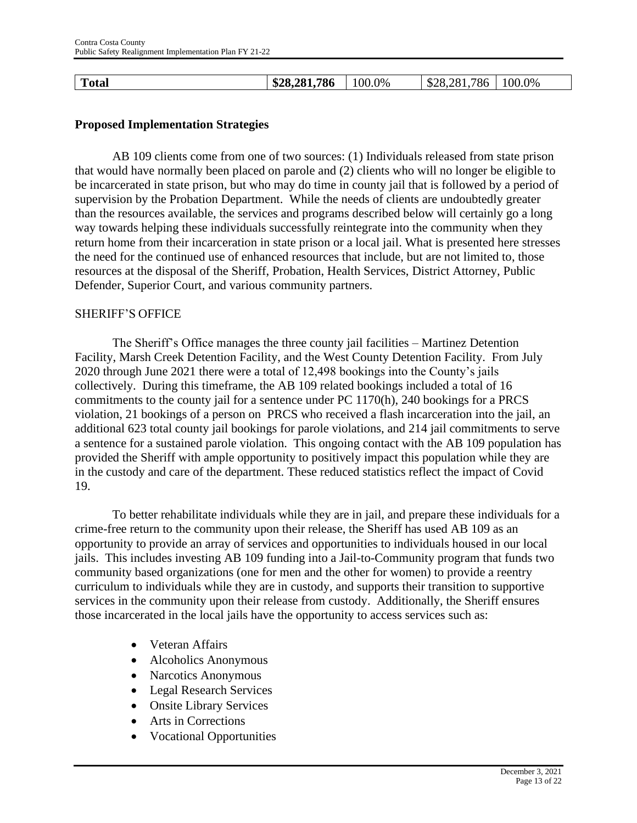| m<br>`otal | \$28,281,786 | $100.0\%$ | 786<br>∍ס<br>നോ<br>$\sim$<br>$\Delta$ | $00.0\%$ |
|------------|--------------|-----------|---------------------------------------|----------|
|------------|--------------|-----------|---------------------------------------|----------|

#### **Proposed Implementation Strategies**

AB 109 clients come from one of two sources: (1) Individuals released from state prison that would have normally been placed on parole and (2) clients who will no longer be eligible to be incarcerated in state prison, but who may do time in county jail that is followed by a period of supervision by the Probation Department. While the needs of clients are undoubtedly greater than the resources available, the services and programs described below will certainly go a long way towards helping these individuals successfully reintegrate into the community when they return home from their incarceration in state prison or a local jail. What is presented here stresses the need for the continued use of enhanced resources that include, but are not limited to, those resources at the disposal of the Sheriff, Probation, Health Services, District Attorney, Public Defender, Superior Court, and various community partners.

#### SHERIFF'S OFFICE

The Sheriff's Office manages the three county jail facilities – Martinez Detention Facility, Marsh Creek Detention Facility, and the West County Detention Facility. From July 2020 through June 2021 there were a total of 12,498 bookings into the County's jails collectively. During this timeframe, the AB 109 related bookings included a total of 16 commitments to the county jail for a sentence under PC 1170(h), 240 bookings for a PRCS violation, 21 bookings of a person on PRCS who received a flash incarceration into the jail, an additional 623 total county jail bookings for parole violations, and 214 jail commitments to serve a sentence for a sustained parole violation. This ongoing contact with the AB 109 population has provided the Sheriff with ample opportunity to positively impact this population while they are in the custody and care of the department. These reduced statistics reflect the impact of Covid 19.

To better rehabilitate individuals while they are in jail, and prepare these individuals for a crime-free return to the community upon their release, the Sheriff has used AB 109 as an opportunity to provide an array of services and opportunities to individuals housed in our local jails. This includes investing AB 109 funding into a Jail-to-Community program that funds two community based organizations (one for men and the other for women) to provide a reentry curriculum to individuals while they are in custody, and supports their transition to supportive services in the community upon their release from custody. Additionally, the Sheriff ensures those incarcerated in the local jails have the opportunity to access services such as:

- Veteran Affairs
- Alcoholics Anonymous
- Narcotics Anonymous
- Legal Research Services
- Onsite Library Services
- Arts in Corrections
- Vocational Opportunities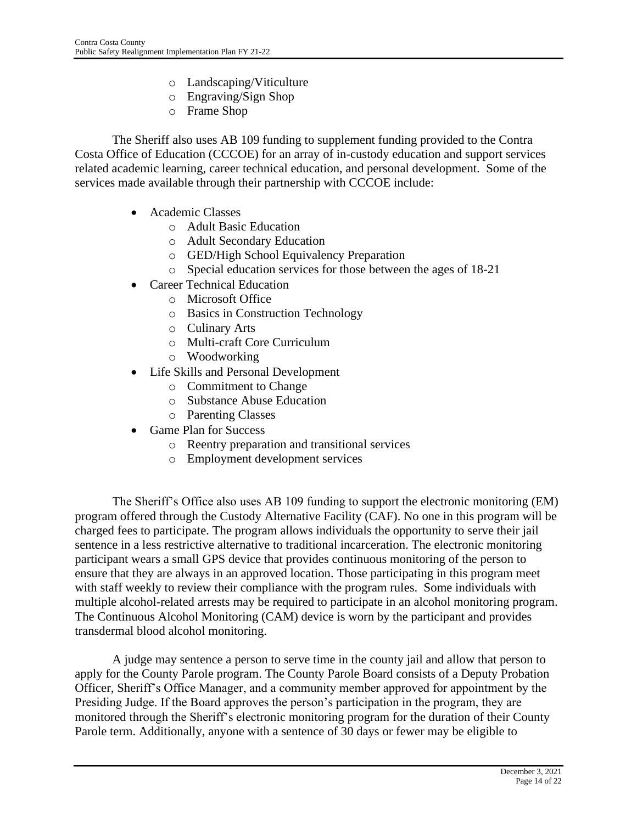- o Landscaping/Viticulture
- o Engraving/Sign Shop
- o Frame Shop

The Sheriff also uses AB 109 funding to supplement funding provided to the Contra Costa Office of Education (CCCOE) for an array of in-custody education and support services related academic learning, career technical education, and personal development. Some of the services made available through their partnership with CCCOE include:

- Academic Classes
	- o Adult Basic Education
	- o Adult Secondary Education
	- o GED/High School Equivalency Preparation
	- o Special education services for those between the ages of 18-21
- Career Technical Education
	- o Microsoft Office
	- o Basics in Construction Technology
	- o Culinary Arts
	- o Multi-craft Core Curriculum
	- o Woodworking
- Life Skills and Personal Development
	- o Commitment to Change
	- o Substance Abuse Education
	- o Parenting Classes
- Game Plan for Success
	- o Reentry preparation and transitional services
	- o Employment development services

The Sheriff's Office also uses AB 109 funding to support the electronic monitoring (EM) program offered through the Custody Alternative Facility (CAF). No one in this program will be charged fees to participate. The program allows individuals the opportunity to serve their jail sentence in a less restrictive alternative to traditional incarceration. The electronic monitoring participant wears a small GPS device that provides continuous monitoring of the person to ensure that they are always in an approved location. Those participating in this program meet with staff weekly to review their compliance with the program rules. Some individuals with multiple alcohol-related arrests may be required to participate in an alcohol monitoring program. The Continuous Alcohol Monitoring (CAM) device is worn by the participant and provides transdermal blood alcohol monitoring.

A judge may sentence a person to serve time in the county jail and allow that person to apply for the County Parole program. The County Parole Board consists of a Deputy Probation Officer, Sheriff's Office Manager, and a community member approved for appointment by the Presiding Judge. If the Board approves the person's participation in the program, they are monitored through the Sheriff's electronic monitoring program for the duration of their County Parole term. Additionally, anyone with a sentence of 30 days or fewer may be eligible to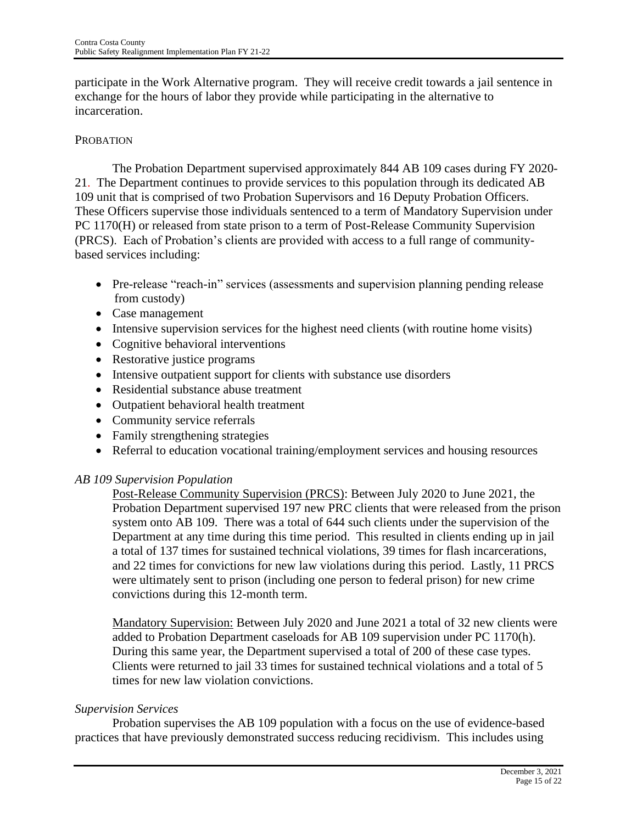participate in the Work Alternative program. They will receive credit towards a jail sentence in exchange for the hours of labor they provide while participating in the alternative to incarceration.

### PROBATION

The Probation Department supervised approximately 844 AB 109 cases during FY 2020- 21. The Department continues to provide services to this population through its dedicated AB 109 unit that is comprised of two Probation Supervisors and 16 Deputy Probation Officers. These Officers supervise those individuals sentenced to a term of Mandatory Supervision under PC 1170(H) or released from state prison to a term of Post-Release Community Supervision (PRCS). Each of Probation's clients are provided with access to a full range of communitybased services including:

- Pre-release "reach-in" services (assessments and supervision planning pending release from custody)
- Case management
- Intensive supervision services for the highest need clients (with routine home visits)
- Cognitive behavioral interventions
- Restorative justice programs
- Intensive outpatient support for clients with substance use disorders
- Residential substance abuse treatment
- Outpatient behavioral health treatment
- Community service referrals
- Family strengthening strategies
- Referral to education vocational training/employment services and housing resources

### *AB 109 Supervision Population*

Post-Release Community Supervision (PRCS): Between July 2020 to June 2021, the Probation Department supervised 197 new PRC clients that were released from the prison system onto AB 109. There was a total of 644 such clients under the supervision of the Department at any time during this time period. This resulted in clients ending up in jail a total of 137 times for sustained technical violations, 39 times for flash incarcerations, and 22 times for convictions for new law violations during this period. Lastly, 11 PRCS were ultimately sent to prison (including one person to federal prison) for new crime convictions during this 12-month term.

Mandatory Supervision: Between July 2020 and June 2021 a total of 32 new clients were added to Probation Department caseloads for AB 109 supervision under PC 1170(h). During this same year, the Department supervised a total of 200 of these case types. Clients were returned to jail 33 times for sustained technical violations and a total of 5 times for new law violation convictions.

### *Supervision Services*

Probation supervises the AB 109 population with a focus on the use of evidence-based practices that have previously demonstrated success reducing recidivism. This includes using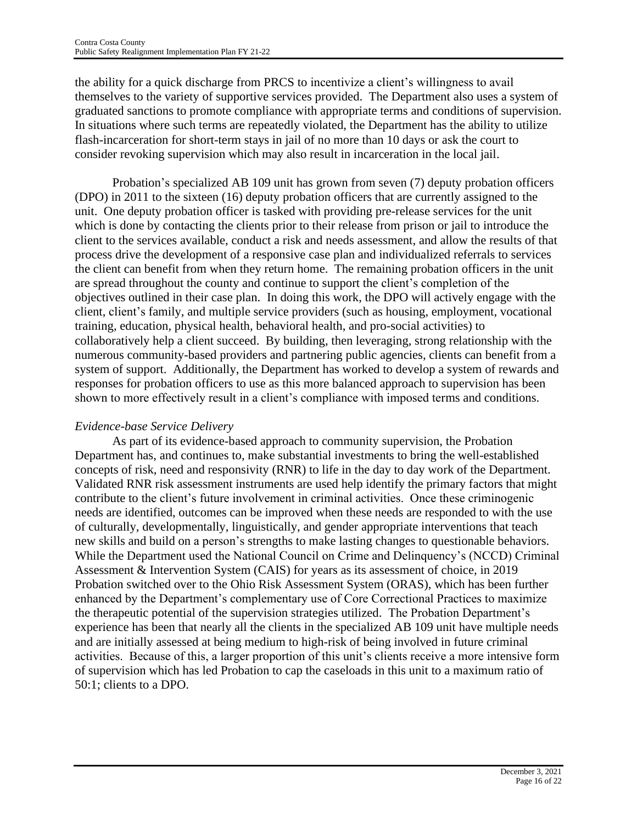the ability for a quick discharge from PRCS to incentivize a client's willingness to avail themselves to the variety of supportive services provided. The Department also uses a system of graduated sanctions to promote compliance with appropriate terms and conditions of supervision. In situations where such terms are repeatedly violated, the Department has the ability to utilize flash-incarceration for short-term stays in jail of no more than 10 days or ask the court to consider revoking supervision which may also result in incarceration in the local jail.

Probation's specialized AB 109 unit has grown from seven (7) deputy probation officers (DPO) in 2011 to the sixteen (16) deputy probation officers that are currently assigned to the unit. One deputy probation officer is tasked with providing pre-release services for the unit which is done by contacting the clients prior to their release from prison or jail to introduce the client to the services available, conduct a risk and needs assessment, and allow the results of that process drive the development of a responsive case plan and individualized referrals to services the client can benefit from when they return home. The remaining probation officers in the unit are spread throughout the county and continue to support the client's completion of the objectives outlined in their case plan. In doing this work, the DPO will actively engage with the client, client's family, and multiple service providers (such as housing, employment, vocational training, education, physical health, behavioral health, and pro-social activities) to collaboratively help a client succeed. By building, then leveraging, strong relationship with the numerous community-based providers and partnering public agencies, clients can benefit from a system of support. Additionally, the Department has worked to develop a system of rewards and responses for probation officers to use as this more balanced approach to supervision has been shown to more effectively result in a client's compliance with imposed terms and conditions.

# *Evidence-base Service Delivery*

As part of its evidence-based approach to community supervision, the Probation Department has, and continues to, make substantial investments to bring the well-established concepts of risk, need and responsivity (RNR) to life in the day to day work of the Department. Validated RNR risk assessment instruments are used help identify the primary factors that might contribute to the client's future involvement in criminal activities. Once these criminogenic needs are identified, outcomes can be improved when these needs are responded to with the use of culturally, developmentally, linguistically, and gender appropriate interventions that teach new skills and build on a person's strengths to make lasting changes to questionable behaviors. While the Department used the National Council on Crime and Delinquency's (NCCD) Criminal Assessment & Intervention System (CAIS) for years as its assessment of choice, in 2019 Probation switched over to the Ohio Risk Assessment System (ORAS), which has been further enhanced by the Department's complementary use of Core Correctional Practices to maximize the therapeutic potential of the supervision strategies utilized. The Probation Department's experience has been that nearly all the clients in the specialized AB 109 unit have multiple needs and are initially assessed at being medium to high-risk of being involved in future criminal activities. Because of this, a larger proportion of this unit's clients receive a more intensive form of supervision which has led Probation to cap the caseloads in this unit to a maximum ratio of 50:1; clients to a DPO.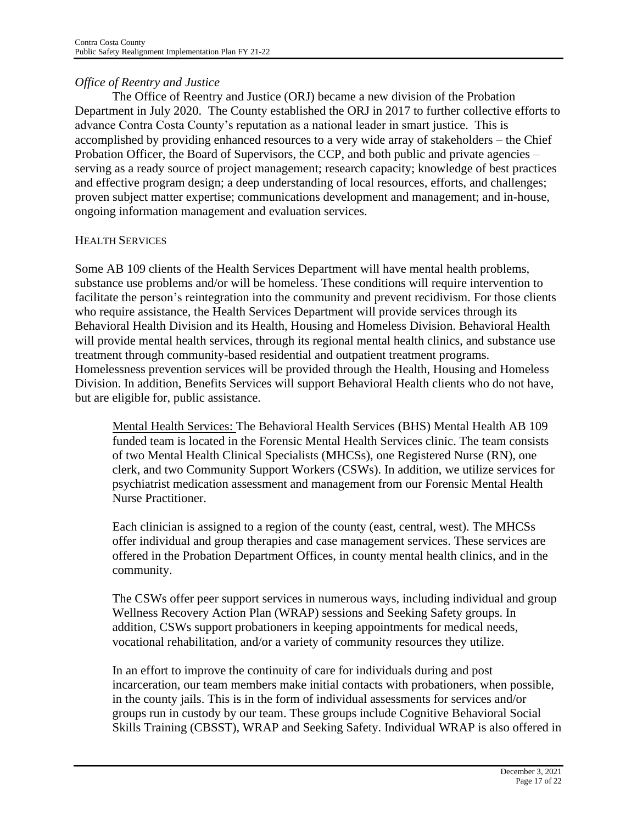# *Office of Reentry and Justice*

The Office of Reentry and Justice (ORJ) became a new division of the Probation Department in July 2020. The County established the ORJ in 2017 to further collective efforts to advance Contra Costa County's reputation as a national leader in smart justice. This is accomplished by providing enhanced resources to a very wide array of stakeholders – the Chief Probation Officer, the Board of Supervisors, the CCP, and both public and private agencies – serving as a ready source of project management; research capacity; knowledge of best practices and effective program design; a deep understanding of local resources, efforts, and challenges; proven subject matter expertise; communications development and management; and in-house, ongoing information management and evaluation services.

### HEALTH SERVICES

Some AB 109 clients of the Health Services Department will have mental health problems, substance use problems and/or will be homeless. These conditions will require intervention to facilitate the person's reintegration into the community and prevent recidivism. For those clients who require assistance, the Health Services Department will provide services through its Behavioral Health Division and its Health, Housing and Homeless Division. Behavioral Health will provide mental health services, through its regional mental health clinics, and substance use treatment through community-based residential and outpatient treatment programs. Homelessness prevention services will be provided through the Health, Housing and Homeless Division. In addition, Benefits Services will support Behavioral Health clients who do not have, but are eligible for, public assistance.

Mental Health Services: The Behavioral Health Services (BHS) Mental Health AB 109 funded team is located in the Forensic Mental Health Services clinic. The team consists of two Mental Health Clinical Specialists (MHCSs), one Registered Nurse (RN), one clerk, and two Community Support Workers (CSWs). In addition, we utilize services for psychiatrist medication assessment and management from our Forensic Mental Health Nurse Practitioner.

Each clinician is assigned to a region of the county (east, central, west). The MHCSs offer individual and group therapies and case management services. These services are offered in the Probation Department Offices, in county mental health clinics, and in the community.

The CSWs offer peer support services in numerous ways, including individual and group Wellness Recovery Action Plan (WRAP) sessions and Seeking Safety groups. In addition, CSWs support probationers in keeping appointments for medical needs, vocational rehabilitation, and/or a variety of community resources they utilize.

In an effort to improve the continuity of care for individuals during and post incarceration, our team members make initial contacts with probationers, when possible, in the county jails. This is in the form of individual assessments for services and/or groups run in custody by our team. These groups include Cognitive Behavioral Social Skills Training (CBSST), WRAP and Seeking Safety. Individual WRAP is also offered in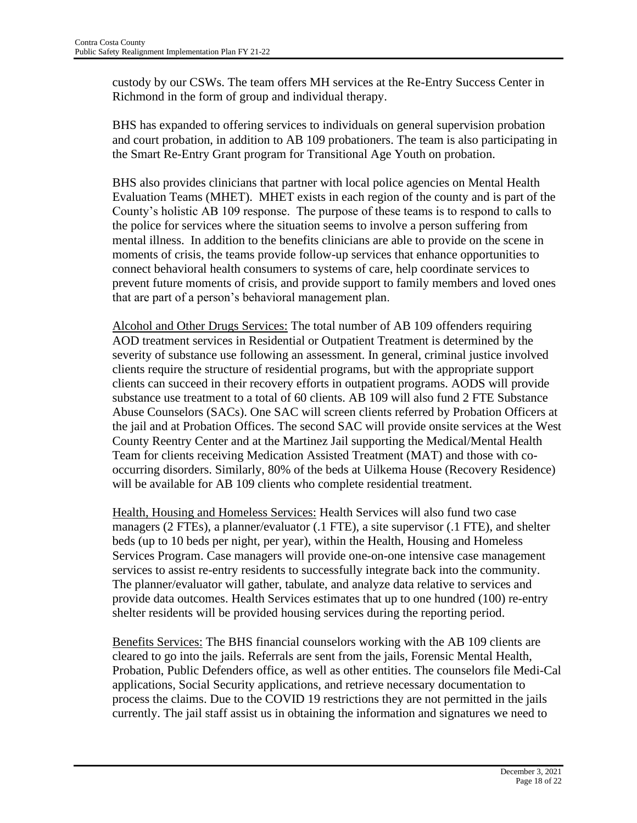custody by our CSWs. The team offers MH services at the Re-Entry Success Center in Richmond in the form of group and individual therapy.

BHS has expanded to offering services to individuals on general supervision probation and court probation, in addition to AB 109 probationers. The team is also participating in the Smart Re-Entry Grant program for Transitional Age Youth on probation.

BHS also provides clinicians that partner with local police agencies on Mental Health Evaluation Teams (MHET). MHET exists in each region of the county and is part of the County's holistic AB 109 response. The purpose of these teams is to respond to calls to the police for services where the situation seems to involve a person suffering from mental illness. In addition to the benefits clinicians are able to provide on the scene in moments of crisis, the teams provide follow-up services that enhance opportunities to connect behavioral health consumers to systems of care, help coordinate services to prevent future moments of crisis, and provide support to family members and loved ones that are part of a person's behavioral management plan.

Alcohol and Other Drugs Services: The total number of AB 109 offenders requiring AOD treatment services in Residential or Outpatient Treatment is determined by the severity of substance use following an assessment. In general, criminal justice involved clients require the structure of residential programs, but with the appropriate support clients can succeed in their recovery efforts in outpatient programs. AODS will provide substance use treatment to a total of 60 clients. AB 109 will also fund 2 FTE Substance Abuse Counselors (SACs). One SAC will screen clients referred by Probation Officers at the jail and at Probation Offices. The second SAC will provide onsite services at the West County Reentry Center and at the Martinez Jail supporting the Medical/Mental Health Team for clients receiving Medication Assisted Treatment (MAT) and those with cooccurring disorders. Similarly, 80% of the beds at Uilkema House (Recovery Residence) will be available for AB 109 clients who complete residential treatment.

Health, Housing and Homeless Services: Health Services will also fund two case managers (2 FTEs), a planner/evaluator (.1 FTE), a site supervisor (.1 FTE), and shelter beds (up to 10 beds per night, per year), within the Health, Housing and Homeless Services Program. Case managers will provide one-on-one intensive case management services to assist re-entry residents to successfully integrate back into the community. The planner/evaluator will gather, tabulate, and analyze data relative to services and provide data outcomes. Health Services estimates that up to one hundred (100) re-entry shelter residents will be provided housing services during the reporting period.

Benefits Services: The BHS financial counselors working with the AB 109 clients are cleared to go into the jails. Referrals are sent from the jails, Forensic Mental Health, Probation, Public Defenders office, as well as other entities. The counselors file Medi-Cal applications, Social Security applications, and retrieve necessary documentation to process the claims. Due to the COVID 19 restrictions they are not permitted in the jails currently. The jail staff assist us in obtaining the information and signatures we need to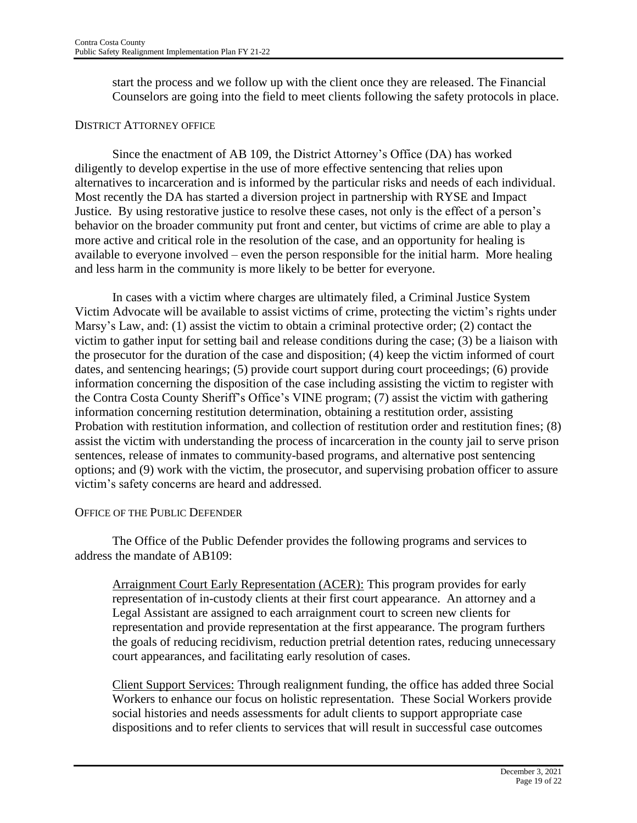start the process and we follow up with the client once they are released. The Financial Counselors are going into the field to meet clients following the safety protocols in place.

#### DISTRICT ATTORNEY OFFICE

Since the enactment of AB 109, the District Attorney's Office (DA) has worked diligently to develop expertise in the use of more effective sentencing that relies upon alternatives to incarceration and is informed by the particular risks and needs of each individual. Most recently the DA has started a diversion project in partnership with RYSE and Impact Justice. By using restorative justice to resolve these cases, not only is the effect of a person's behavior on the broader community put front and center, but victims of crime are able to play a more active and critical role in the resolution of the case, and an opportunity for healing is available to everyone involved – even the person responsible for the initial harm. More healing and less harm in the community is more likely to be better for everyone.

In cases with a victim where charges are ultimately filed, a Criminal Justice System Victim Advocate will be available to assist victims of crime, protecting the victim's rights under Marsy's Law, and: (1) assist the victim to obtain a criminal protective order; (2) contact the victim to gather input for setting bail and release conditions during the case; (3) be a liaison with the prosecutor for the duration of the case and disposition; (4) keep the victim informed of court dates, and sentencing hearings; (5) provide court support during court proceedings; (6) provide information concerning the disposition of the case including assisting the victim to register with the Contra Costa County Sheriff's Office's VINE program; (7) assist the victim with gathering information concerning restitution determination, obtaining a restitution order, assisting Probation with restitution information, and collection of restitution order and restitution fines; (8) assist the victim with understanding the process of incarceration in the county jail to serve prison sentences, release of inmates to community-based programs, and alternative post sentencing options; and (9) work with the victim, the prosecutor, and supervising probation officer to assure victim's safety concerns are heard and addressed.

#### OFFICE OF THE PUBLIC DEFENDER

The Office of the Public Defender provides the following programs and services to address the mandate of AB109:

Arraignment Court Early Representation (ACER): This program provides for early representation of in-custody clients at their first court appearance. An attorney and a Legal Assistant are assigned to each arraignment court to screen new clients for representation and provide representation at the first appearance. The program furthers the goals of reducing recidivism, reduction pretrial detention rates, reducing unnecessary court appearances, and facilitating early resolution of cases.

Client Support Services: Through realignment funding, the office has added three Social Workers to enhance our focus on holistic representation. These Social Workers provide social histories and needs assessments for adult clients to support appropriate case dispositions and to refer clients to services that will result in successful case outcomes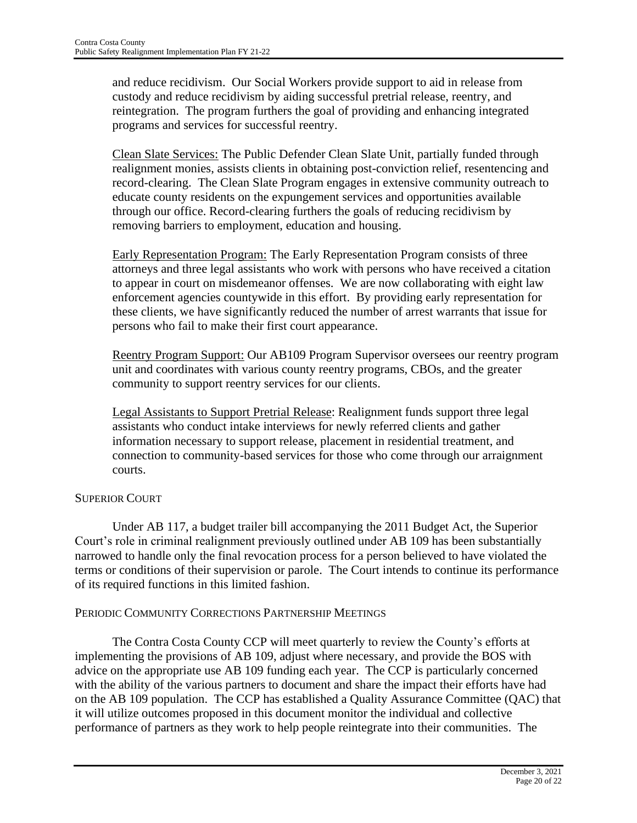and reduce recidivism. Our Social Workers provide support to aid in release from custody and reduce recidivism by aiding successful pretrial release, reentry, and reintegration. The program furthers the goal of providing and enhancing integrated programs and services for successful reentry.

Clean Slate Services: The Public Defender Clean Slate Unit, partially funded through realignment monies, assists clients in obtaining post-conviction relief, resentencing and record-clearing. The Clean Slate Program engages in extensive community outreach to educate county residents on the expungement services and opportunities available through our office. Record-clearing furthers the goals of reducing recidivism by removing barriers to employment, education and housing.

Early Representation Program: The Early Representation Program consists of three attorneys and three legal assistants who work with persons who have received a citation to appear in court on misdemeanor offenses. We are now collaborating with eight law enforcement agencies countywide in this effort. By providing early representation for these clients, we have significantly reduced the number of arrest warrants that issue for persons who fail to make their first court appearance.

Reentry Program Support: Our AB109 Program Supervisor oversees our reentry program unit and coordinates with various county reentry programs, CBOs, and the greater community to support reentry services for our clients.

Legal Assistants to Support Pretrial Release: Realignment funds support three legal assistants who conduct intake interviews for newly referred clients and gather information necessary to support release, placement in residential treatment, and connection to community-based services for those who come through our arraignment courts.

### SUPERIOR COURT

Under AB 117, a budget trailer bill accompanying the 2011 Budget Act, the Superior Court's role in criminal realignment previously outlined under AB 109 has been substantially narrowed to handle only the final revocation process for a person believed to have violated the terms or conditions of their supervision or parole. The Court intends to continue its performance of its required functions in this limited fashion.

### PERIODIC COMMUNITY CORRECTIONS PARTNERSHIP MEETINGS

The Contra Costa County CCP will meet quarterly to review the County's efforts at implementing the provisions of AB 109, adjust where necessary, and provide the BOS with advice on the appropriate use AB 109 funding each year. The CCP is particularly concerned with the ability of the various partners to document and share the impact their efforts have had on the AB 109 population. The CCP has established a Quality Assurance Committee (QAC) that it will utilize outcomes proposed in this document monitor the individual and collective performance of partners as they work to help people reintegrate into their communities. The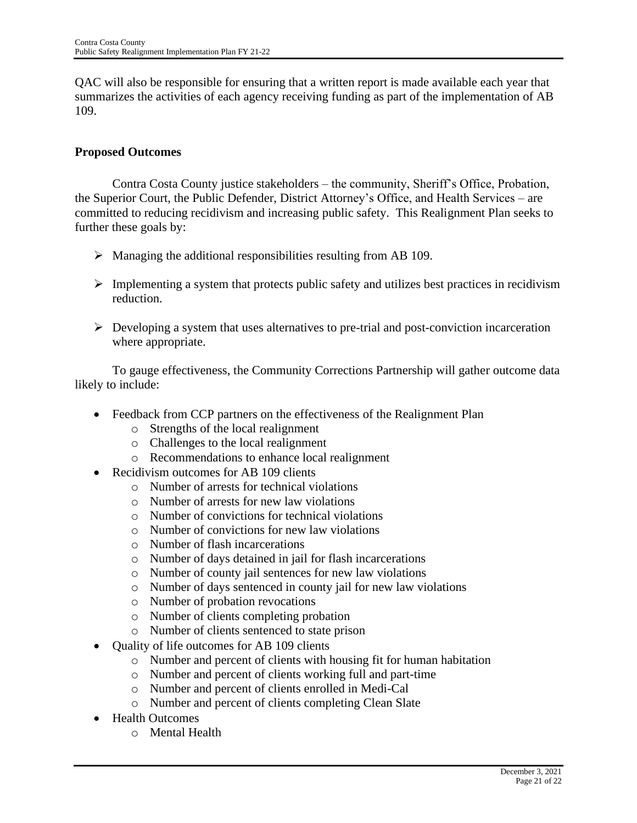QAC will also be responsible for ensuring that a written report is made available each year that summarizes the activities of each agency receiving funding as part of the implementation of AB 109.

### **Proposed Outcomes**

Contra Costa County justice stakeholders – the community, Sheriff's Office, Probation, the Superior Court, the Public Defender, District Attorney's Office, and Health Services – are committed to reducing recidivism and increasing public safety. This Realignment Plan seeks to further these goals by:

- $\triangleright$  Managing the additional responsibilities resulting from AB 109.
- $\triangleright$  Implementing a system that protects public safety and utilizes best practices in recidivism reduction.
- $\triangleright$  Developing a system that uses alternatives to pre-trial and post-conviction incarceration where appropriate.

To gauge effectiveness, the Community Corrections Partnership will gather outcome data likely to include:

- Feedback from CCP partners on the effectiveness of the Realignment Plan
	- o Strengths of the local realignment
	- o Challenges to the local realignment
	- o Recommendations to enhance local realignment
- Recidivism outcomes for AB 109 clients
	- o Number of arrests for technical violations
	- o Number of arrests for new law violations
	- o Number of convictions for technical violations
	- o Number of convictions for new law violations
	- o Number of flash incarcerations
	- o Number of days detained in jail for flash incarcerations
	- o Number of county jail sentences for new law violations
	- o Number of days sentenced in county jail for new law violations
	- o Number of probation revocations
	- o Number of clients completing probation
	- o Number of clients sentenced to state prison
- Quality of life outcomes for AB 109 clients
	- o Number and percent of clients with housing fit for human habitation
	- o Number and percent of clients working full and part-time
	- o Number and percent of clients enrolled in Medi-Cal
	- o Number and percent of clients completing Clean Slate
- Health Outcomes
	- o Mental Health